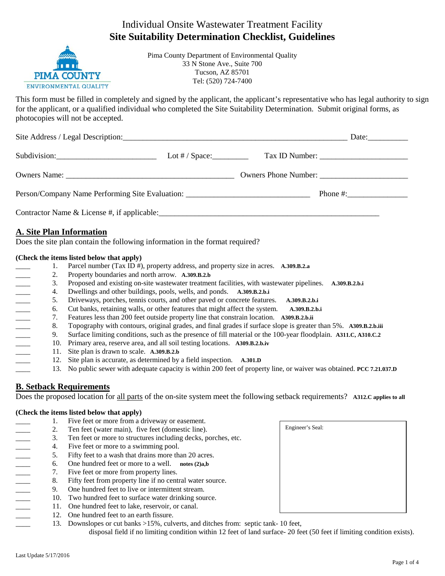# Individual Onsite Wastewater Treatment Facility **Site Suitability Determination Checklist, Guidelines**



Pima County Department of Environmental Quality 33 N Stone Ave., Suite 700 Tucson, AZ 85701 Tel: (520) 724-7400

This form must be filled in completely and signed by the applicant, the applicant's representative who has legal authority to sign for the applicant, or a qualified individual who completed the Site Suitability Determination. Submit original forms, as photocopies will not be accepted.

| Subdivision:                                                                     |  |
|----------------------------------------------------------------------------------|--|
|                                                                                  |  |
| Person/Company Name Performing Site Evaluation: ________________________________ |  |
|                                                                                  |  |

# **A. Site Plan Information**

Does the site plan contain the following information in the format required?

#### **(Check the items listed below that apply)**

\_\_\_\_ 1. Parcel number (Tax ID #), property address, and property size in acres. **A.309.B.2.a** 2. Property boundaries and north arrow. **A.309.B.2.b**<br>3. Proposed and existing on-site wastewater treatme<br>4. Dwellings and other buildings, pools, wells, and p<br>5. Driveways, porches, tennis courts, and other pave<br>6. Cut ba \_\_\_\_ 3. Proposed and existing on-site wastewater treatment facilities, with wastewater pipelines. **A.309.B.2.b.i** \_\_\_\_ 4. Dwellings and other buildings, pools, wells, and ponds. **A.309.B.2.b.i** \_\_\_\_ 5. Driveways, porches, tennis courts, and other paved or concrete features. **A.309.B.2.b.i** \_\_\_\_ 6. Cut banks, retaining walls, or other features that might affect the system. **A.309.B.2.b.i** \_\_\_\_ 7. Features less than 200 feet outside property line that constrain location. **A309.B.2.b.ii** \_\_\_\_ 8. Topography with contours, original grades, and final grades if surface slope is greater than 5%. **A309.B.2.b.iii** \_\_\_\_ 9. Surface limiting conditions, such as the presence of fill material or the 100-year floodplain. **A311.C, A310.C.2** \_\_\_\_ 10. Primary area, reserve area, and all soil testing locations. **A309.B.2.b.iv** \_\_\_\_ 11. Site plan is drawn to scale. **A.309.B.2.b** 12. Site plan is accurate, as determined by a field inspection. **A.301.D** \_\_\_\_ 13. No public sewer with adequate capacity is within 200 feet of property line, or waiver was obtained. **PCC 7.21.037.D**

# **B. Setback Requirements**

Does the proposed location for all parts of the on-site system meet the following setback requirements? **A312.C applies to all**

#### **(Check the items listed below that apply)**

1. Five feet or more from a driveway or easement. 2. Ten feet (water main), five feet (domestic line).<br>
3. Ten feet or more to structures including decks, p<br>
4. Five feet or more to a swimming pool.<br>
5. Fifty feet to a wash that drains more than 20 acre<br>
6. One hundred fe 3. Ten feet or more to structures including decks, porches, etc. 4. Five feet or more to a swimming pool. 5. Fifty feet to a wash that drains more than 20 acres. \_\_\_\_ 6. One hundred feet or more to a well. **notes (2)a,b** 7. Five feet or more from property lines. 8. Fifty feet from property line if no central water source. \_\_\_\_ 9. One hundred feet to live or intermittent stream. 10. Two hundred feet to surface water drinking source. 11. One hundred feet to lake, reservoir, or canal. 12. One hundred feet to an earth fissure. 13. Downslopes or cut banks >15%, culverts, and ditches from: septic tank- 10 feet,



disposal field if no limiting condition within 12 feet of land surface- 20 feet (50 feet if limiting condition exists).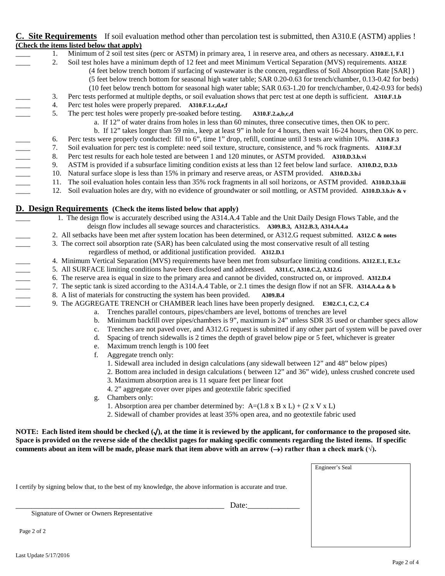### **C. Site Requirements** If soil evaluation method other than percolation test is submitted, then A310.E (ASTM) applies ! **(Check the items listed below that apply)**

- \_\_\_\_ 1. Minimum of 2 soil test sites (perc or ASTM) in primary area, 1 in reserve area, and others as necessary. **A310.E.1, F.1**
	- \_\_\_\_ 2. Soil test holes have a minimum depth of 12 feet and meet Minimum Vertical Separation (MVS) requirements. **A312.E**
		- (4 feet below trench bottom if surfacing of wastewater is the concen, regardless of Soil Absorption Rate [SAR] )
			- (5 feet below trench bottom for seasonal high water table; SAR 0.20-0.63 for trench/chamber, 0.13-0.42 for beds)
		- (10 feet below trench bottom for seasonal high water table; SAR 0.63-1.20 for trench/chamber, 0.42-0.93 for beds)
	- \_\_\_\_ 3. Perc tests performed at multiple depths, or soil evaluation shows that perc test at one depth is sufficient. **A310.F.1.b**
- 4. Perc test holes were properly prepared. **A310.F.1.c,d,e,f**<br>5. The perc test holes were properly pre-soaked before tes
	- \_\_\_\_ 5. The perc test holes were properly pre-soaked before testing. **A310.F.2.a,b,c,d**
		- a. If 12" of water drains from holes in less than 60 minutes, three consecutive times, then OK to perc.
		- b. If 12" takes longer than 59 min., keep at least 9" in hole for 4 hours, then wait 16-24 hours, then OK to perc.
		-
	- \_\_\_\_ 7. Soil evaluation for perc test is complete: need soil texture, structure, consistence, and % rock fragments. **A310.F.3.f**
	- \_\_\_\_ 8. Perc test results for each hole tested are between 1 and 120 minutes, or ASTM provided. **A310.D.3.b.vi**
- a. If 12" of water drains from holes in less than 60 minutes, three consecutive times, then OK to perc.<br>
b. If 12" takes longer than 59 min., keep at least 9" in hole for 4 hours, then wait 16-24 hours, then OK to<br>
6. Perc \_\_\_\_ 9. ASTM is provided if a subsurface limiting condition exists at less than 12 feet below land surface. **A310.D.2, D.3.b**
	- \_\_\_\_ 10. Natural surface slope is less than 15% in primary and reserve areas, or ASTM provided. **A310.D.3.b.i**
	- \_\_\_\_ 11. The soil evaluation holes contain less than 35% rock fragments in all soil horizons, or ASTM provided. **A310.D.3.b.iii**
		- \_\_\_\_ 12. Soil evaluation holes are dry, with no evidence of groundwater or soil mottling, or ASTM provided. **A310.D.3.b.iv & v**

# **D. Design Requirements** (Check the items listed below that apply)<br>1. The design flow is accurately described using the A314.A.4

- 1. The design flow is accurately described using the A314.A.4 Table and the Unit Daily Design Flows Table, and the
- \_\_\_\_ 2. All setbacks have been met after system location has been determined, or A312.G request submitted. **A312.C & notes**
- deisgn flow includes all sewage sources and characteristics. **A309.B.3, A312.B.3, A314.A.4.**<br>2. All setbacks have been met after system location has been determined, or A312.G request submitted<br>3. The correct soil absorpti \_\_\_\_ 3. The correct soil absorption rate (SAR) has been calculated using the most conservative result of all testing
	- regardless of method, or additional justification provided. **A312.D.1**
	- \_\_\_\_ 4. Minimum Vertical Separation (MVS) requirements have been met from subsurface limiting conditions. **A312.E.1, E.3.c**
	- \_\_\_\_ 5. All SURFACE limiting conditions have been disclosed and addressed. **A311.C, A310.C.2, A312.G**
	- \_\_\_\_ 6. The reserve area is equal in size to the primary area and cannot be divided, constructed on, or improved. **A312.D.4**
	- \_\_\_\_ 7. The septic tank is sized according to the A314.A.4 Table, or 2.1 times the design flow if not an SFR. **A314.A.4.a & b**
- 8. A list of materials for constructing the system has been provided. **A309.B.4**
- \_\_\_\_ 9. The AGGREGATE TRENCH or CHAMBER leach lines have been properly designed. **E302.C.1, C.2, C.4** 
	- a. Trenches parallel contours, pipes/chambers are level, bottoms of trenches are level
	- b. Minimum backfill over pipes/chambers is 9", maximum is 24" unless SDR 35 used or chamber specs allow
		- c. Trenches are not paved over, and A312.G request is submitted if any other part of system will be paved over
		- d. Spacing of trench sidewalls is 2 times the depth of gravel below pipe or 5 feet, whichever is greater
		- e. Maximum trench length is 100 feet
		- f. Aggregate trench only:
			- 1. Sidewall area included in design calculations (any sidewall between 12" and 48" below pipes)
			- 2. Bottom area included in design calculations ( between 12" and 36" wide), unless crushed concrete used
				- 3. Maximum absorption area is 11 square feet per linear foot
				- 4. 2" aggregate cover over pipes and geotextile fabric specified
		- g. Chambers only:
			- 1. Absorption area per chamber determined by:  $A=(1.8 \times B \times L) + (2 \times V \times L)$
			- 2. Sidewall of chamber provides at least 35% open area, and no geotextile fabric used

**NOTE: Each listed item should be checked (**√**), at the time it is reviewed by the applicant, for conformance to the proposed site. Space is provided on the reverse side of the checklist pages for making specific comments regarding the listed items. If specific comments about an item will be made, please mark that item above with an arrow (** $\rightarrow$ **) rather than a check mark (** $\sqrt{}$ **).** 

|                                                                                                           |       | Engineer's Seal |
|-----------------------------------------------------------------------------------------------------------|-------|-----------------|
|                                                                                                           |       |                 |
| I certify by signing below that, to the best of my knowledge, the above information is accurate and true. |       |                 |
|                                                                                                           |       |                 |
|                                                                                                           | Date: |                 |
| Signature of Owner or Owners Representative                                                               |       |                 |
|                                                                                                           |       |                 |
| Page 2 of 2                                                                                               |       |                 |
|                                                                                                           |       |                 |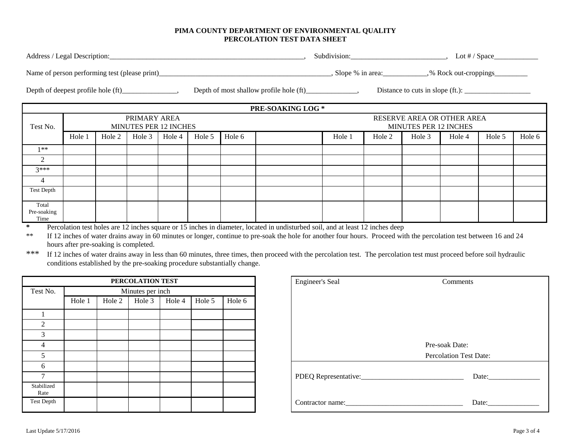#### **PIMA COUNTY DEPARTMENT OF ENVIRONMENTAL QUALITY PERCOLATION TEST DATA SHEET**

|                              |                                                                                                                                                                                                                                                                                                  |        |          |        |        |        | PRE-SOAKING LOG *                                                                                               |                                                            |        |        |        |        |        |
|------------------------------|--------------------------------------------------------------------------------------------------------------------------------------------------------------------------------------------------------------------------------------------------------------------------------------------------|--------|----------|--------|--------|--------|-----------------------------------------------------------------------------------------------------------------|------------------------------------------------------------|--------|--------|--------|--------|--------|
| Test No.                     | PRIMARY AREA<br><b>MINUTES PER 12 INCHES</b>                                                                                                                                                                                                                                                     |        |          |        |        |        |                                                                                                                 | RESERVE AREA OR OTHER AREA<br><b>MINUTES PER 12 INCHES</b> |        |        |        |        |        |
|                              | Hole 1                                                                                                                                                                                                                                                                                           | Hole 2 | Hole $3$ | Hole 4 | Hole 5 | Hole 6 |                                                                                                                 | Hole 1                                                     | Hole 2 | Hole 3 | Hole 4 | Hole 5 | Hole 6 |
| $1**$                        |                                                                                                                                                                                                                                                                                                  |        |          |        |        |        |                                                                                                                 |                                                            |        |        |        |        |        |
| 2                            |                                                                                                                                                                                                                                                                                                  |        |          |        |        |        |                                                                                                                 |                                                            |        |        |        |        |        |
| $3***$                       |                                                                                                                                                                                                                                                                                                  |        |          |        |        |        |                                                                                                                 |                                                            |        |        |        |        |        |
| $\overline{4}$               |                                                                                                                                                                                                                                                                                                  |        |          |        |        |        |                                                                                                                 |                                                            |        |        |        |        |        |
| <b>Test Depth</b>            |                                                                                                                                                                                                                                                                                                  |        |          |        |        |        |                                                                                                                 |                                                            |        |        |        |        |        |
| Total<br>Pre-soaking<br>Time | $\mathbb{R}$ and $\mathbb{R}$ and $\mathbb{R}$ and $\mathbb{R}$ and $\mathbb{R}$ and $\mathbb{R}$ and $\mathbb{R}$ and $\mathbb{R}$ and $\mathbb{R}$ and $\mathbb{R}$ and $\mathbb{R}$ and $\mathbb{R}$ and $\mathbb{R}$ and $\mathbb{R}$ and $\mathbb{R}$ and $\mathbb{R}$ and $\mathbb{R}$ and |        |          |        |        |        | the contract of the contract of the contract of the contract of the contract of the contract of the contract of |                                                            |        |        |        |        |        |

**\*** Percolation test holes are 12 inches square or 15 inches in diameter, located in undisturbed soil, and at least 12 inches deep

If 12 inches of water drains away in 60 minutes or longer, continue to pre-soak the hole for another four hours. Proceed with the percolation test between 16 and 24 hours after pre-soaking is completed.

\*\*\* If 12 inches of water drains away in less than 60 minutes, three times, then proceed with the percolation test. The percolation test must proceed before soil hydraulic conditions established by the pre-soaking procedure substantially change.

| PERCOLATION TEST   |                  |        |        |        |        |        | <b>Engineer's Seal</b> | Comments                      |
|--------------------|------------------|--------|--------|--------|--------|--------|------------------------|-------------------------------|
| Test No.           | Minutes per inch |        |        |        |        |        |                        |                               |
|                    | Hole 1           | Hole 2 | Hole 3 | Hole 4 | Hole 5 | Hole 6 |                        |                               |
|                    |                  |        |        |        |        |        |                        |                               |
| 2                  |                  |        |        |        |        |        |                        |                               |
| 3                  |                  |        |        |        |        |        |                        |                               |
| 4                  |                  |        |        |        |        |        |                        | Pre-soak Date:                |
|                    |                  |        |        |        |        |        |                        | <b>Percolation Test Date:</b> |
| 6                  |                  |        |        |        |        |        |                        |                               |
| $\mathbf{r}$       |                  |        |        |        |        |        |                        | Date:                         |
| Stabilized<br>Rate |                  |        |        |        |        |        |                        |                               |
| <b>Test Depth</b>  |                  |        |        |        |        |        | Contractor name:       | Date:                         |

|                    | PERCOLATION TEST |        |        |        |        |        |  | <b>Engineer's Seal</b> | Comments                      |
|--------------------|------------------|--------|--------|--------|--------|--------|--|------------------------|-------------------------------|
| Test No.           | Minutes per inch |        |        |        |        |        |  |                        |                               |
|                    | Hole 1           | Hole 2 | Hole 3 | Hole 4 | Hole 5 | Hole 6 |  |                        |                               |
|                    |                  |        |        |        |        |        |  |                        |                               |
| 2                  |                  |        |        |        |        |        |  |                        |                               |
| 3                  |                  |        |        |        |        |        |  |                        |                               |
| 4                  |                  |        |        |        |        |        |  |                        | Pre-soak Date:                |
| 5                  |                  |        |        |        |        |        |  |                        | <b>Percolation Test Date:</b> |
| 6                  |                  |        |        |        |        |        |  |                        |                               |
| $\overline{7}$     |                  |        |        |        |        |        |  |                        |                               |
| Stabilized<br>Rate |                  |        |        |        |        |        |  |                        |                               |
| Test Depth         |                  |        |        |        |        |        |  |                        |                               |